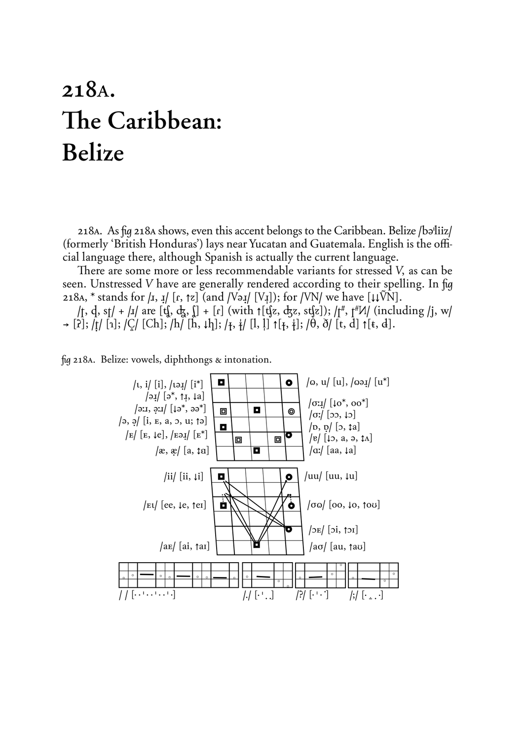## 218A. The Caribbean: **Belize**

218A. As fig 218A shows, even this accent belongs to the Caribbean. Belize /bəlliiz/ (formerly 'British Honduras') lays near Yucatan and Guatemala. English is the official language there, although Spanish is actually the current language.

There are some more or less recommendable variants for stressed V, as can be seen. Unstressed V have are generally rendered according to their spelling. In fig 218A, \* stands for  $|I, I|$  [ $r, \uparrow z$ ] (and  $|V\rightarrow I|$  [V<sub>I</sub>]); for  $|VN|$  we have [ $\downarrow \downarrow \tilde{VN}$ ].

/t, d, st/ + /1/ are  $[\n{\bf t} \n\hat{y}, \n\hat{d} \n\hat{y}, \n\hat{y}]$  + [r] (with  $\uparrow [\n{\bf t} \n\hat{z}, \n\hat{d} \n\hat{z}, \n\text{st} \n\hat{z}]$ ); / $\uparrow^{\#}, \uparrow^{\#} M$  (including /j, w/  $\rightarrow$  [2];  $\int$ [1];  $\int$ [C];  $\int$ [Ch];  $\int$ [h],  $\int$ [h];  $\int$ <sub>{1}</sub>;  $\int$ [l, l]  $\uparrow$ [<sub>t</sub>, i];  $\int$ [θ, ð] [t, d]  $\uparrow$ [t, d].

fig 218A. Belize: vowels, diphthongs & intonation.

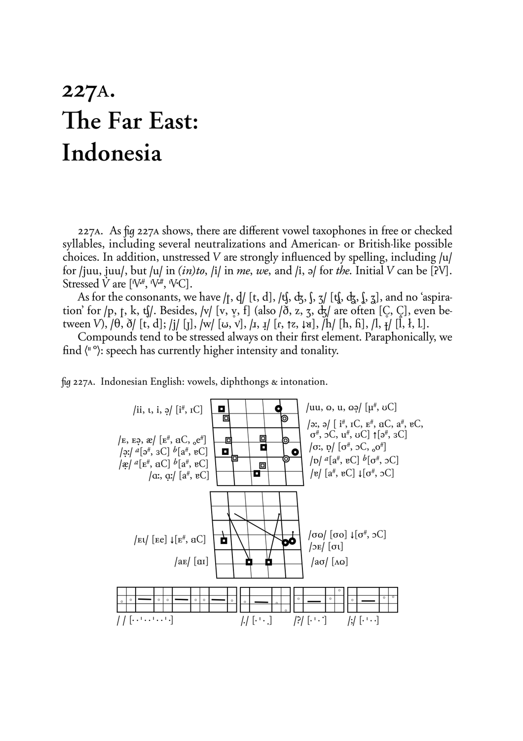## 227A. The Far East: Indonesia

227A. As fig 227A shows, there are different vowel taxophones in free or checked syllables, including several neutralizations and American- or British-like possible choices. In addition, unstressed V are strongly influenced by spelling, including /u/ for /juu, juu/, but /u/ in  $(in)to$ , /i/ in me, we, and /i,  $\partial$  for the. Initial V can be [PV]. Stressed  $\dot{V}$  are  $[W^{\#}, W^{\#}, W^{\circ}C]$ .

As for the consonants, we have /t. d/ [t. d], /t. dz, f, z/ [t. dz, f, z], and no 'aspiration' for /p, t, k, tʃ/. Besides, /v/ [v, v, f] (also / $\delta$ , z, 3,  $\frac{1}{3}$  are often [C, C], even between V),  $\ket{\theta}$ ,  $\delta$  [t, d]; /j/ [j], /w/ [ω, v], /ɪ, ɪ̞/ [ɾ, ↑z, ↓a], /h/ [h, ĥ], /l, \*/ [l, ł, l].

Compounds tend to be stressed always on their first element. Paraphonically, we find  $\langle$ <sup>n</sup> $\degree$ ): speech has currently higher intensity and tonality.



fig 227A. Indonesian English: vowels, diphthongs & intonation.